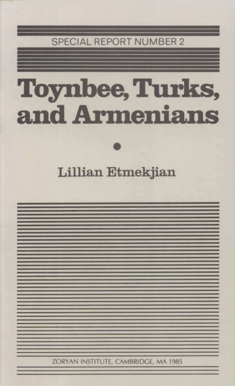#### SPECIAL REPORT NUMBER 2

# Toynbee,Turks, and Armenians

Lillian Etmekjian

ZORYAN INSTITUTE, CAMBRIDGE, MA 1985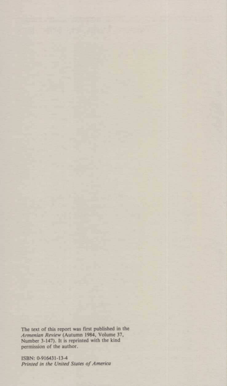The text of this report was first published in the Armenian Review (Autumn 1984, Volume 37, Number 3-147). It is reprinted with the kind permission of the author.

ISBN: 0.916431-13-4 Printed in the United States of America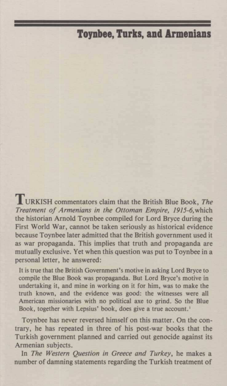#### Toynbee, Turks, and Armenians

TURKISH commentators claim that the British Blue Book, The Treatment of Armenians in the Ottoman Empire, 1915-6, which the historian Arnold Toynbee compiled for Lord Bryce during the First World War, cannot be taken seriously as historical evidence because Toynbee later admitted that the British government used it as war propaganda. This implies that truth and propaganda are mutually exclusive. Yet when this question was put to Toynbee in a personal letter, he answered:

It is true that the British Government's motive in asking Lord Bryce to compile the Blue Book was propaganda. But Lord Bryce's motive in undertaking it, and mine in working on it for him, was to make the truth known, and the evidence was good: the witnesses were all American missionaries with no political axe to grind. So the Blue Book, together with Lepsius' book, does give a true account.'

Toynbee has never reversed himself on this matter. On the contrary, he has repeated in three of his post-war books that the Turkish government planned and carried out genocide against its Armenian subjects.

In The Western Question in Greece and Turkey, he makes a number of damning statements regarding the Turkish treatment of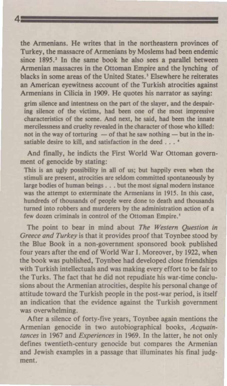the Armenians. He writes that in the northeastern provinces of Turkey, the massacre of Armenians by Moslems had been endemic since 1895.<sup>2</sup> In the same book he also sees a parallel between Armenian massacres in the Ottoman Empire and the lynching of blacks in some areas of the United States." Elsewhere he reiterates an American eyewitness account of the Turkish atrocities against Armenians in Cilicia in 1909. He quotes his narrator as saying:

4

grim silence and intentness on the part of the slayer, and the despairing silence of the victims, had been one of the most impressive characteristics of the scene. And next, he said, had been the innate mercilessness and cruelty revealed in the character of those who killed:<br>not in the way of torturing — of that he saw nothing — but in the innot in the way of torturing  $-$  of that he saw nothing  $-$  but in the insatiable desire to kill, and satisfaction in the deed . . . '

And finally, he indicts the First World War Ottoman government of genocide by stating:

This is an ugly possibility in all of us; but happily even when the stimuli are present, atrocities are seldom committed spontaneously by large bodies of human beings . . . but the most signal modern instance was the attempt to exterminate the Armenians in 1915. In this case, hundreds of thousands of people were done to death and thousands turned into robbers and murderers by the administration action of <sup>a</sup> few dozen criminals in control of the Ottoman Empire.

The point to bear in mind about The Western Question in Greece and Turkey is that it provides proof that Toynbee stood by the Blue Book in a non-government sponsored book published four years after the end of World War I. Moreover, by 1922, when the book was published, Toynbee had developed close friendships with Turkish intellectuals and was making every effort to be fair to the Turks. The fact that he did not repudiate his war-time conclusions about the Armenian atrocities, despite his personal change of attitude toward the Turkish people in the post-war period, is itself an indication that the evidence against the Turkish government was overwhelming.

After <sup>a</sup> silence of forty-five years, Toynbee again mentions the Armenian genocide in two autobiographical books, Acquaintances in 1967 and Experiences in 1969. In the latter, he not only defines twentieth-century genocide but compares the Armenian and Jewish examples in a passage that illuminates his final judgment.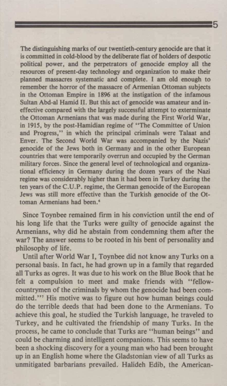5 The distinguishing marks of our twentieth-century genocide are that it is committed in cold-blood by the deliberate fiat of holders of despotic political power, and the perpetrators of genocide employ all the resources of present-day technology and organization to make their planned massacres systematic and complete. I am old enough to remember the horror of the massacre of Armenian Ottoman subjects in the Ottoman Empire in <sup>1896</sup> at the instigation of the infamous Sultan Abd-al Hamid II. But this act of genocide was amateur and ineffective compared with the largely successful attempt to exterminate the Ottoman Armenians that was made during the First World War, in 1915, by the post-Hamidian regime of 'The Committee of Union and Progress," in which the principal criminals were Talaat and Enver. The Second World War was accompanied by the Nazis' genocide of the Jews both in Germany and in the other European countries that were temporarily overrun and occupied by the German military forces. Since the general level of technological and organizational efficiency in Germany during the dozen years of the Nazi regime was considerably higher than it had been in Turkey during the ten years of the C.U.P. regime, the German genocide of the European Jews was still more effective than the Turkish genocide of the Ottoman Armenians had been.\*

Since Toynbee remained firm in his conviction until the end of his long life that the Turks were guilty of genocide against the Armenians, why did he abstain from condemning them after the war? The answer seems to be rooted in his bent of personality and philosophy of life.

Until after World War I, Toynbee did not know any Turks on <sup>a</sup> personal basis. In fact, he had grown up in a family that regarded all Turks as ogres. It was due to his work on the Blue Book that he felt a compulsion to meet and make friends with "fellowcountrymen of the criminals by whom the genocide had been committed."<sup>7</sup> His motive was to figure out how human beings could do the terrible deeds that had been done to the Armenians. To achieve this goal, he studied the Turkish language, he traveled to Turkey, and he cultivated the friendship of many Turks. In the process, he came to conclude that Turks are "human beings" and could be charming and intelligent companions. This seems to have been a shocking discovery for a young man who had been brought up in an English home where the Gladstonian view of all Turks as unmitigated barbarians prevailed. Halideh Edib, the American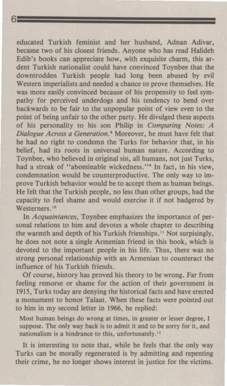6<br>
Educated Turkish feminist and her husband, Adnan Adivar, educated Turkish feminist and her husband, Adnan Adivar, became two of his closest friends. Anyone who has read Halideh Edib's books can appreciate how, with exquisite charm, this ardent Turkish nationalist could have convinced Toynbee that the downtrodden Turkish people had long been abused by evil Western imperialists and needed a chance to prove themselves. He was more easily convinced because of his propensity to feel sympathy for perceived underdogs and his tendency to bend over backwards to be fair to the unpopular point of view even to the point of being unfair to the other party. He divulged these aspects of his personality to his son Philip in Comparing Notes: A Dialogue Across a Generation.<sup>\*</sup> Moreover, he must have felt that he had no right to condemn the Turks for behavior that, in his belief, had its roots in universal human nature. According to Toynbee, who believed in original sin, all humans, not just Turks, had a streak of "abominable wickedness."<sup>9</sup> In fact, in his view, condemnation would be counterproductive. The only way to improve Turkish behavior would be to accept them as human beings. He felt that the Turkish people, no less than other groups, had the capacity to feel shame and would exercise it if not badgered by Westerners.<sup>10</sup>

In Acquaintances, Toynbee emphasizes the importance of personal relations to him and devotes a whole chapter to describing the warmth and depth of his Turkish frienships.'" Not surpisingly, he does not note a single Armenian friend in this book, which is devoted to the important people in his life. Thus, there was no strong personal relationship with an Armenian to counteract the influence of his Turkish friends.

Of course, history has proved his theory to be wrong. Far from feeling remorse or shame for the action of their government in 1915, Turks today are denying the historical facts and have erected <sup>a</sup> monument to honor Talaat. When these facts were pointed out to him in my second letter in 1966, he replied:

Most human beings do wrong at times, in greater or lesser degree, I suppose. The only way back is to admit it and to be sorry for it, and nationalism is a hindrance to this, unfortunately."

It is interesting to note that, while he feels that the only way Turks can be morally regenerated is by admitting and repenting their crime, he no longer shows interest in justice for the victims.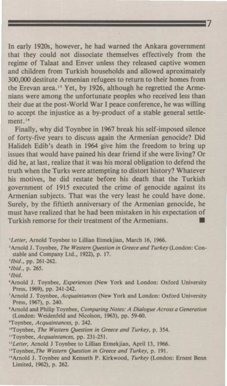In early 1920s, however, he had warned the Ankara government that they could not dissociate themselves effectively from the regime of Talaat and Enver unless they released captive women and children from Turkish households and allowed aproximately 300,000 destitute Armenian refugees to return to their homes from the Erevan area."" Yet, by 1926, although he regretted the Armenians were among the unfortunate peoples who received less than their due at the post-World War I peace conference, he was willing to accept the injustice as <sup>a</sup> by-product of <sup>a</sup> stable general settlement, 14

/

Finally, why did Toynbee in <sup>1967</sup> break his self-imposed silence of forty-five years to discuss again the Armenian genocide? Did Halideh Edib's death in <sup>1964</sup> give him the freedom to bring up issues that would have pained his dear friend if she were living? Or did he, at last, realize that it was his moral obligation to defend the truth when the Turks were attempting to distort history? Whatever his motives, he did restate before his death that the Turkish government of <sup>1915</sup> executed the crime of genocide against its Armenian subjects. That was the very least he could have done. Surely, by the fiftieth anniversary of the Armenian genocide, he must have realized that he had been mistaken in his expectation of Turkish remorse for their treatment of the Armenians. \_I

<sup>2</sup>Arnold J. Toynbee, The Western Question in Greece and Turkey (London: Constable and Company Ltd., 1922), p. 17.

'Tbid.

- \*Amnold J. Toynbee, Experiences (New York and London: Oxford University Press, 1969), pp. 241-242.
- 'Arnold J. Toynbee, Acquaintances (New York and London: Oxford University Press, 1967), p. 240.
- "Arnold and Philip Toynbee, Comparing Notes: A Dialogue Across a Generation (London: Weidenfeld and Nicolson, 1963), pp. 59-60.
- "Toynbee, Acquaintances, p. 242.
- <sup>10</sup>Toynbee, The Western Question in Greece and Turkey, p. 354.
- "'Toynbee, Acquaintances, pp. 231-251.
- <sup>12</sup> Letter, Arnold J Toynbee to Lillian Etmekjian, April 13, 1966.
- "Toynbee, The Western Question in Greece and Turkey, p. 191.
- "Arnold J. Toynbee and Kenneth P. Kirkwood, Turkey (London: Ernest Benn Limited, 1962), p. 262.

<sup>&#</sup>x27;Letter, Arnold Toynbee to Lillian Etmekjian, March 16, 1966.

<sup>&#</sup>x27;Tbid., pp. 261-262.

<sup>&</sup>quot;Ibid., p. 265.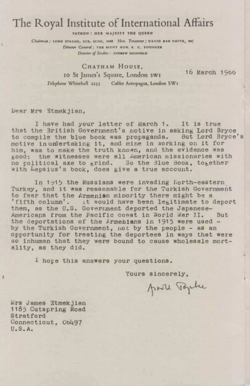### The Royal Institute of International Affairs

ratrow: wer majesty tme queen

Chairman; LORD STRANG, GCR, GCMG, MHE Hon. Treasurer; DAVID RAB SMITH, MC Director General: THE RIGHT HON. K. G. YOUNGER Director of Studies: ANDREW SHONFIELD

CHATHAM HOUSE, <sup>10</sup> St James's Square, London sw1 Telephone Whitehall 2233 Cables Areopagus, London SW1

16 March 1966

Dear Mrs Stmekjian,

I have had your letter of March 1. It is true that the 3ritish Government's motive in asking Lord Bryce to compile the blue book was propaganda. But Lord Bryce's motive inumlertaking it, and mine in working on it for him, was to make the truth known, and the evidence was good: the witnesses were all American missionaries with no political axe to grind. So the 3lue Book, together with Lepsius's book, does give <sup>a</sup> true account.

In 1915 the Russians were invading North-eastern Turkey, and it was reasonable for the Turkish Government to fear that the Armenian minority there might be <sup>a</sup> to fear that the Armenian minority there might be a<br>'fifth column'. It would have been legitimate to deport them, as the U.S. Goverrment deported the Japanese-Americans from the Pacific coast in World War II. But the deportations of the Armenians in <sup>1915</sup> were used by the Turkish Government, not by the people - as an opportunity for treating the deportees in ways that were so inhuman that they were bound to cause wholesale mortality, as they did.

1 hope this answers your questions.

Yours sincerely,

from Topke

Mrs James Etmekjian 1185 Cutspring Road **Stratford** Connecticut, Ob497 U. 8. A.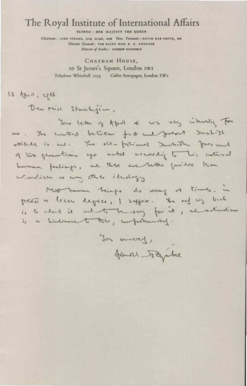## The Royal Institute of International Affairs

PATRON: HER MAJESTY THE QUEEN

Chairman: CORO STRANG, GCR, CCMG, MHS How, Treasurer; DAVID HAN SMITH, MC Director Genral: THE RIGHT HON. K. G. VOUNGER Genrad ; vun nicht non, n. c. vi<br>Director of Studies : an<mark>ounw s</mark>utportnis

Cnarnam House, <sup>10</sup> St James's Square, London swt Telephone Whitchall 2233 Calla Areopagun, London

 $13$  Agmin, 1966

Den Miss Etwelyin,

The Royal Institute of International Affairs<br>
Consumer model of the consumer consumer consumer consumer consumer consumer consumer consumer consumer is consumer to consumer consumer consumer consumer consumer consumer con You letter of April  $4$  was very interesting for me. The content between for a great suchist The Royal Institute of International Affairs<br>
Consumer model of the consumer consumer consumer consumer consumer consumer consumer consumer consumer is consumer to consumer the consumer consumer consumer consumer consumer East Contras Mour Home Manuscript (1)<br>
CONTINUES SERVICE CONTINUES SERVICE CONTINUES SERVICE CONTINUES SERVICE CONTINUES SERVICE CONTINUES SERVICE CONTINUES SERVICE CONTINUES SERVICE CONTINUES SERVICE CONTINUES SERVICE CON ettitute is me. She old-falcimed JuntiSh forcesund q \ow quuefin, ego The Royal Institute of International Affairs<br>
Consumer model in the first consumer wave on the first consumer wave on the first consumer theosen .<br>
Charman Houses,<br>
Charman Houses,<br>
13 Agn. 2, Cold<br>
13 Agn. 2, Cold<br>
13 Agn Luman feelings, and these are better guille The Royal Institute of International Affairs<br>
Consumer model of the consumer model<br>
Charles House House House<br>
Charles House House House<br>
Charles House House House<br>
13 Agn 1, erection of the consumption of the consumption windism a my stea itedays is the context between . The context between . The objection of the defect of the method . It is the method . The context of the second defect . It is the first second the . It is the first second the . It is the first sec where is and . The other facture Suntill foremed<br>of the function of earth exceeding to the control function of the control of the second for the control of the<br>median of any still include the day of the same of the same of

of the function of a bottom of the control for the control of the control of the control of the control of the<br>
Limitian or any other is not beginner to be a bottom of the control of the control of the control of the contr Mag-hemen 80<br>As way of times, in peute a lesse deplee, I suffer. She and wy beach pedu a ceces defice, I suffer. She and we is a hindered to this, importantly.

You sincered, Homan Japhe